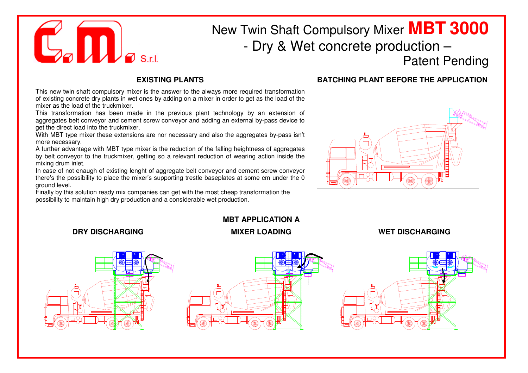

**DRY DISCHARGING**

## New Twin Shaft Compulsory Mixer **MBT <sup>3000</sup>** - Dry & Wet concrete production –

Patent Pending

## **EXISTING PLANTS**

 This new twin shaft compulsory mixer is the answer to the always more required transformation of existing concrete dry plants in wet ones by adding on a mixer in order to get as the load of the mixer as the load of the truckmixer.

 This transformation has been made in the previous plant technology by an extension of aggregates belt conveyor and cement screw conveyor and adding an external by-pass device to get the direct load into the truckmixer.

 With MBT type mixer these extensions are nor necessary and also the aggregates by-pass isn't more necessary.

 A further advantage with MBT type mixer is the reduction of the falling heightness of aggregates by belt conveyor to the truckmixer, getting so a relevant reduction of wearing action inside the mixing drum inlet.

 In case of not enaugh of existing lenght of aggregate belt conveyor and cement screw conveyor there's the possibility to place the mixer's supporting trestle baseplates at some cm under the 0 ground level.

 Finally by this solution ready mix companies can get with the most cheap transformation the possibility to maintain high dry production and a considerable wet production.

## **BATCHING PLANT BEFORE THE APPLICATION**



## **MBT APPLICATION A MIXER LOADING WET DISCHARGING**